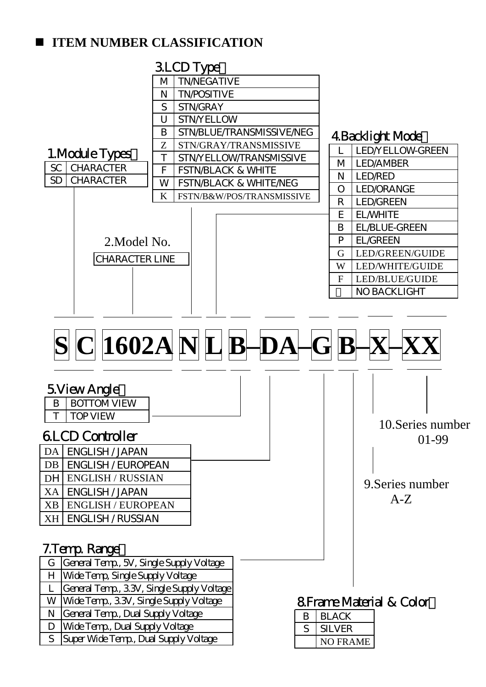## **ITEM NUMBER CLASSIFICATION**

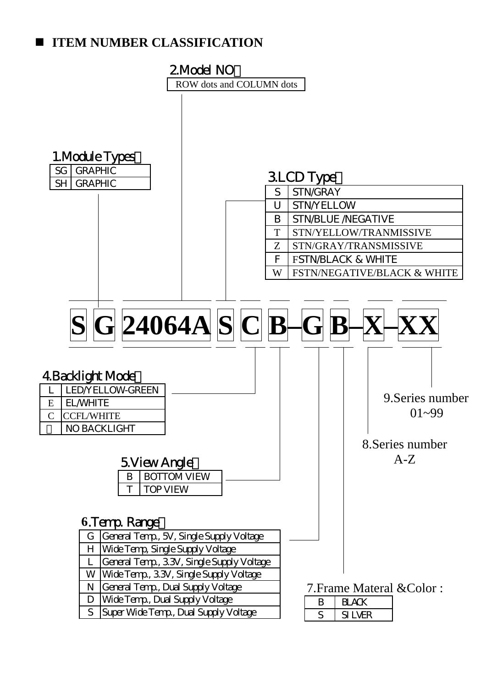## **IFEM NUMBER CLASSIFICATION**